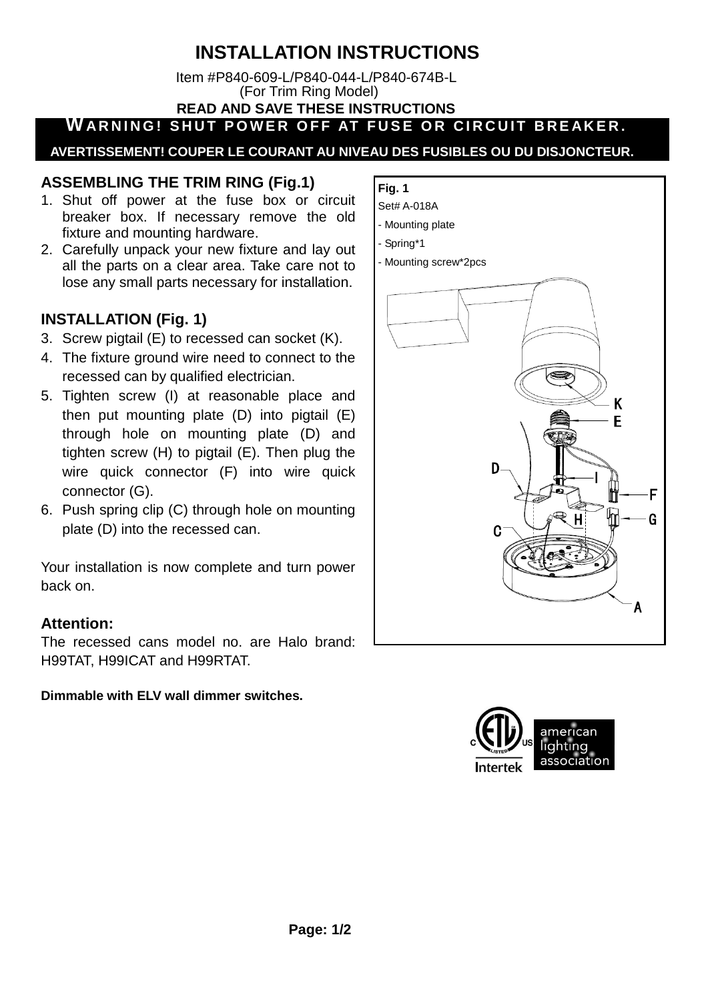# **INSTALLATION INSTRUCTIONS**

 Item #P840-609-L/P840-044-L/P840-674B-L (For Trim Ring Model)  **READ AND SAVE THESE INSTRUCTIONS**

**WARNING! SHUT POWER OFF AT FUSE OR CIRCUIT BREAKER.** 

 **AVERTISSEMENT! COUPER LE COURANT AU NIVEAU DES FUSIBLES OU DU DISJONCTEUR.**

## **ASSEMBLING THE TRIM RING (Fig.1)**

- 1. Shut off power at the fuse box or circuit breaker box. If necessary remove the old fixture and mounting hardware.
- 2. Carefully unpack your new fixture and lay out all the parts on a clear area. Take care not to lose any small parts necessary for installation.

## **INSTALLATION (Fig. 1)**

- 3. Screw pigtail (E) to recessed can socket (K).
- 4. The fixture ground wire need to connect to the recessed can by qualified electrician.
- 5. Tighten screw (I) at reasonable place and then put mounting plate (D) into pigtail (E) through hole on mounting plate (D) and tighten screw (H) to pigtail (E). Then plug the wire quick connector (F) into wire quick connector (G).
- 6. Push spring clip (C) through hole on mounting plate (D) into the recessed can.

Your installation is now complete and turn power back on.

## **Attention:**

The recessed cans model no. are Halo brand: H99TAT, H99ICAT and H99RTAT.

## **Dimmable with ELV wall dimmer switches.**

#### **Fig. 1**  Set# A-018A

- Mounting plate
- Spring\*1
- 
- Mounting screw\*2pcs